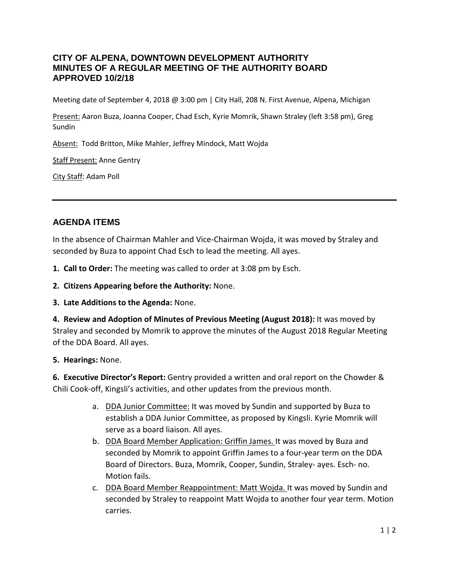# **CITY OF ALPENA, DOWNTOWN DEVELOPMENT AUTHORITY MINUTES OF A REGULAR MEETING OF THE AUTHORITY BOARD APPROVED 10/2/18**

Meeting date of September 4, 2018 @ 3:00 pm | City Hall, 208 N. First Avenue, Alpena, Michigan

Present: Aaron Buza, Joanna Cooper, Chad Esch, Kyrie Momrik, Shawn Straley (left 3:58 pm), Greg Sundin

Absent: Todd Britton, Mike Mahler, Jeffrey Mindock, Matt Wojda

Staff Present: Anne Gentry

City Staff: Adam Poll

# **AGENDA ITEMS**

In the absence of Chairman Mahler and Vice-Chairman Wojda, it was moved by Straley and seconded by Buza to appoint Chad Esch to lead the meeting. All ayes.

- **1. Call to Order:** The meeting was called to order at 3:08 pm by Esch.
- **2. Citizens Appearing before the Authority:** None.
- **3. Late Additions to the Agenda:** None.

**4. Review and Adoption of Minutes of Previous Meeting (August 2018):** It was moved by Straley and seconded by Momrik to approve the minutes of the August 2018 Regular Meeting of the DDA Board. All ayes.

#### **5. Hearings:** None.

**6. Executive Director's Report:** Gentry provided a written and oral report on the Chowder & Chili Cook-off, Kingsli's activities, and other updates from the previous month.

- a. DDA Junior Committee: It was moved by Sundin and supported by Buza to establish a DDA Junior Committee, as proposed by Kingsli. Kyrie Momrik will serve as a board liaison. All ayes.
- b. DDA Board Member Application: Griffin James. It was moved by Buza and seconded by Momrik to appoint Griffin James to a four-year term on the DDA Board of Directors. Buza, Momrik, Cooper, Sundin, Straley- ayes. Esch- no. Motion fails.
- c. DDA Board Member Reappointment: Matt Wojda. It was moved by Sundin and seconded by Straley to reappoint Matt Wojda to another four year term. Motion carries.